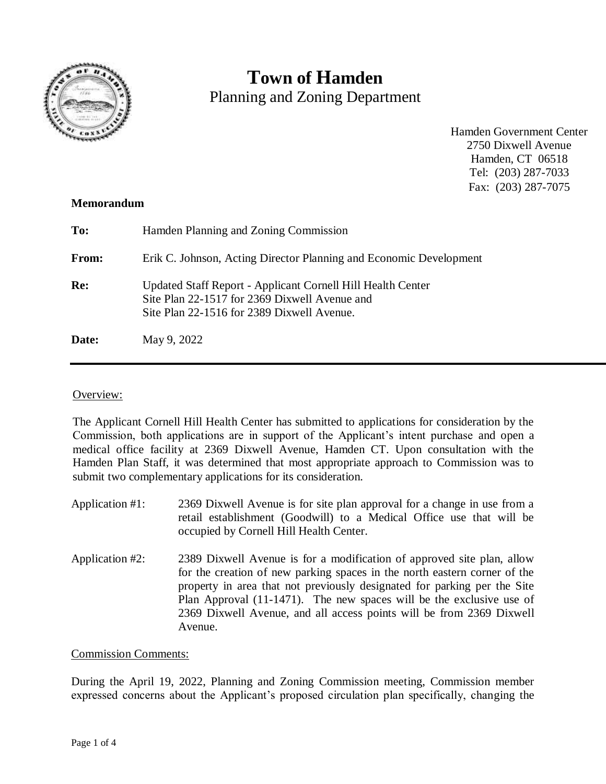

# **Town of Hamden**

Planning and Zoning Department

Hamden Government Center 2750 Dixwell Avenue Hamden, CT 06518 Tel: (203) 287-7033 Fax: (203) 287-7075

## **Memorandum**

| To:        | Hamden Planning and Zoning Commission                                                                                                                      |
|------------|------------------------------------------------------------------------------------------------------------------------------------------------------------|
| From:      | Erik C. Johnson, Acting Director Planning and Economic Development                                                                                         |
| <b>Re:</b> | Updated Staff Report - Applicant Cornell Hill Health Center<br>Site Plan 22-1517 for 2369 Dixwell Avenue and<br>Site Plan 22-1516 for 2389 Dixwell Avenue. |
| Date:      | May 9, 2022                                                                                                                                                |

## Overview:

The Applicant Cornell Hill Health Center has submitted to applications for consideration by the Commission, both applications are in support of the Applicant's intent purchase and open a medical office facility at 2369 Dixwell Avenue, Hamden CT. Upon consultation with the Hamden Plan Staff, it was determined that most appropriate approach to Commission was to submit two complementary applications for its consideration.

- Application #1: 2369 Dixwell Avenue is for site plan approval for a change in use from a retail establishment (Goodwill) to a Medical Office use that will be occupied by Cornell Hill Health Center.
- Application #2: 2389 Dixwell Avenue is for a modification of approved site plan, allow for the creation of new parking spaces in the north eastern corner of the property in area that not previously designated for parking per the Site Plan Approval (11-1471). The new spaces will be the exclusive use of 2369 Dixwell Avenue, and all access points will be from 2369 Dixwell Avenue.

#### Commission Comments:

During the April 19, 2022, Planning and Zoning Commission meeting, Commission member expressed concerns about the Applicant's proposed circulation plan specifically, changing the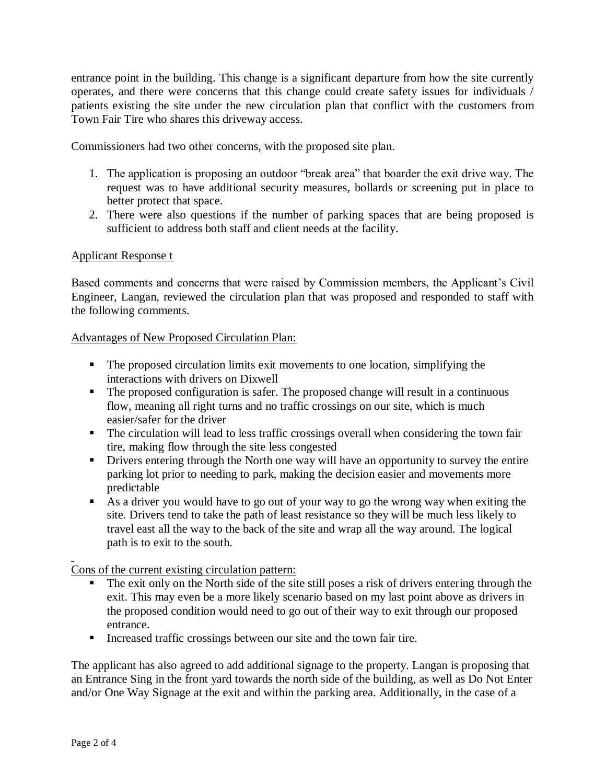entrance point in the building. This change is a significant departure from how the site currently operates, and there were concerns that this change could create safety issues for individuals / patients existing the site under the new circulation plan that conflict with the customers from Town Fair Tire who shares this driveway access.

Commissioners had two other concerns, with the proposed site plan.

- 1. The application is proposing an outdoor "break area" that boarder the exit drive way. The request was to have additional security measures, bollards or screening put in place to better protect that space.
- 2. There were also questions if the number of parking spaces that are being proposed is sufficient to address both staff and client needs at the facility.

## Applicant Response t

Based comments and concerns that were raised by Commission members, the Applicant's Civil Engineer, Langan, reviewed the circulation plan that was proposed and responded to staff with the following comments.

Advantages of New Proposed Circulation Plan:

- The proposed circulation limits exit movements to one location, simplifying the interactions with drivers on Dixwell
- The proposed configuration is safer. The proposed change will result in a continuous flow, meaning all right turns and no traffic crossings on our site, which is much easier/safer for the driver
- The circulation will lead to less traffic crossings overall when considering the town fair tire, making flow through the site less congested
- **•** Drivers entering through the North one way will have an opportunity to survey the entire parking lot prior to needing to park, making the decision easier and movements more predictable
- As a driver you would have to go out of your way to go the wrong way when exiting the site. Drivers tend to take the path of least resistance so they will be much less likely to travel east all the way to the back of the site and wrap all the way around. The logical path is to exit to the south.

Cons of the current existing circulation pattern:

- The exit only on the North side of the site still poses a risk of drivers entering through the exit. This may even be a more likely scenario based on my last point above as drivers in the proposed condition would need to go out of their way to exit through our proposed entrance.
- Increased traffic crossings between our site and the town fair tire.

The applicant has also agreed to add additional signage to the property. Langan is proposing that an Entrance Sing in the front yard towards the north side of the building, as well as Do Not Enter and/or One Way Signage at the exit and within the parking area. Additionally, in the case of a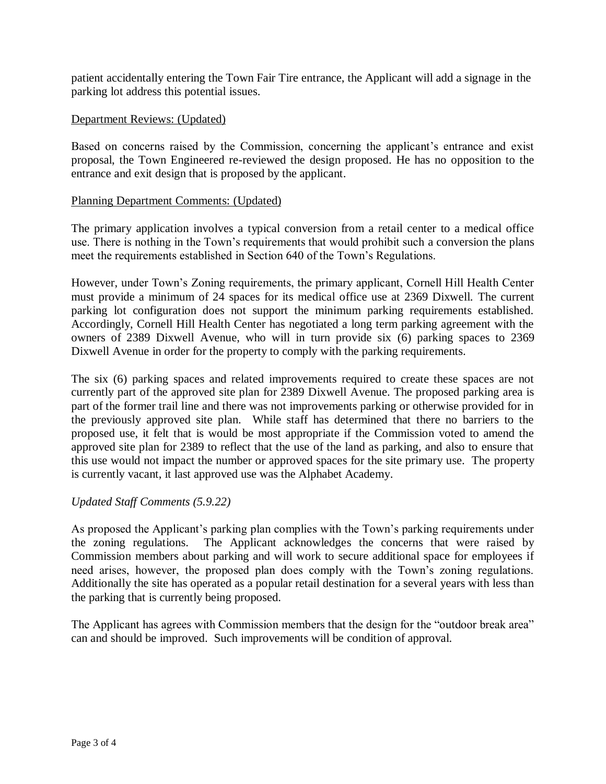patient accidentally entering the Town Fair Tire entrance, the Applicant will add a signage in the parking lot address this potential issues.

### Department Reviews: (Updated)

Based on concerns raised by the Commission, concerning the applicant's entrance and exist proposal, the Town Engineered re-reviewed the design proposed. He has no opposition to the entrance and exit design that is proposed by the applicant.

### Planning Department Comments: (Updated)

The primary application involves a typical conversion from a retail center to a medical office use. There is nothing in the Town's requirements that would prohibit such a conversion the plans meet the requirements established in Section 640 of the Town's Regulations.

However, under Town's Zoning requirements, the primary applicant, Cornell Hill Health Center must provide a minimum of 24 spaces for its medical office use at 2369 Dixwell. The current parking lot configuration does not support the minimum parking requirements established. Accordingly, Cornell Hill Health Center has negotiated a long term parking agreement with the owners of 2389 Dixwell Avenue, who will in turn provide six (6) parking spaces to 2369 Dixwell Avenue in order for the property to comply with the parking requirements.

The six (6) parking spaces and related improvements required to create these spaces are not currently part of the approved site plan for 2389 Dixwell Avenue. The proposed parking area is part of the former trail line and there was not improvements parking or otherwise provided for in the previously approved site plan. While staff has determined that there no barriers to the proposed use, it felt that is would be most appropriate if the Commission voted to amend the approved site plan for 2389 to reflect that the use of the land as parking, and also to ensure that this use would not impact the number or approved spaces for the site primary use. The property is currently vacant, it last approved use was the Alphabet Academy.

## *Updated Staff Comments (5.9.22)*

As proposed the Applicant's parking plan complies with the Town's parking requirements under the zoning regulations. The Applicant acknowledges the concerns that were raised by Commission members about parking and will work to secure additional space for employees if need arises, however, the proposed plan does comply with the Town's zoning regulations. Additionally the site has operated as a popular retail destination for a several years with less than the parking that is currently being proposed.

The Applicant has agrees with Commission members that the design for the "outdoor break area" can and should be improved. Such improvements will be condition of approval.